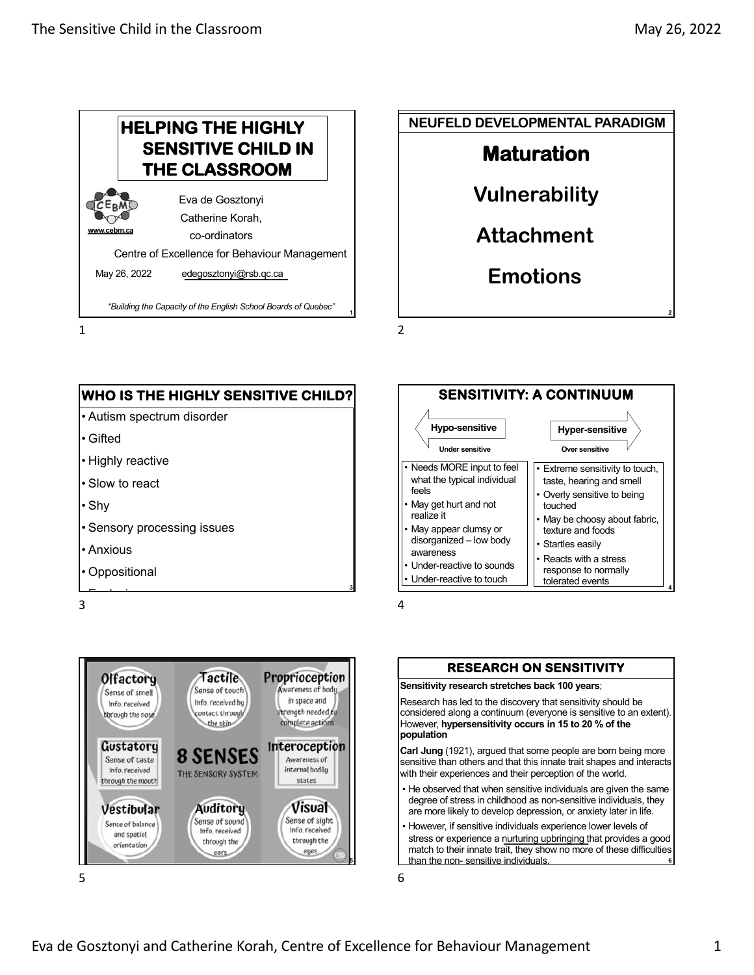









#### **RESEARCH ON SENSITIVITY**

**Sensitivity research stretches back 100 years**;

Research has led to the discovery that sensitivity should be considered along a continuum (everyone is sensitive to an extent). However, **hypersensitivity occurs in 15 to 20 % of the population**

**Carl Jung** (1921), argued that some people are born being more sensitive than others and that this innate trait shapes and interacts with their experiences and their perception of the world.

- He observed that when sensitive individuals are given the same degree of stress in childhood as non-sensitive individuals, they are more likely to develop depression, or anxiety later in life.
- However, if sensitive individuals experience lower levels of stress or experience a nurturing upbringing that provides a good match to their innate trait, they show no more of these difficulties than the non- sensitive individuals. **<sup>6</sup>**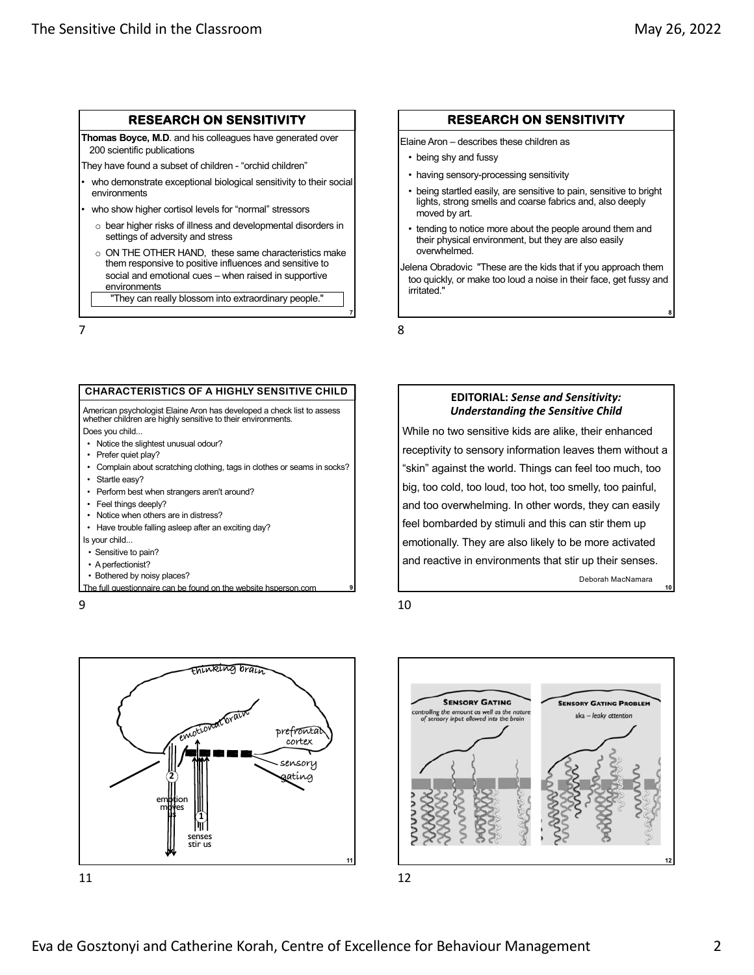**10**

#### **RESEARCH ON SENSITIVITY**

**Thomas Boyce, M.D**. and his colleagues have generated over 200 scientific publications

They have found a subset of children - "orchid children"

- who demonstrate exceptional biological sensitivity to their social environments
- who show higher cortisol levels for "normal" stressors
	- o bear higher risks of illness and developmental disorders in settings of adversity and stress
	- o ON THE OTHER HAND, these same characteristics make them responsive to positive influences and sensitive to social and emotional cues – when raised in supportive environments

"They can really blossom into extraordinary people."

7

#### **CHARACTERISTICS OF A HIGHLY SENSITIVE CHILD**

American psychologist Elaine Aron has developed a check list to assess whether children are highly sensitive to their environments. Does you child...

- Notice the slightest unusual odour?
- Prefer quiet play?
- Complain about scratching clothing, tags in clothes or seams in socks?
- Startle easy?
- Perform best when strangers aren't around?
- Feel things deeply?
- Notice when others are in distress?
- Have trouble falling asleep after an exciting day?
- Is your child...
- Sensitive to pain?
- A perfectionist?
- Bothered by noisy places?
- The full questionnaire can be [found on the we](https://hsperson.com/)bsite hsperson.com

9





#### **RESEARCH ON SENSITIVITY**

Elaine Aron – describes these children as

- being shy and fussy
- having sensory-processing sensitivity
- being startled easily, are sensitive to pain, sensitive to bright lights, strong smells and coarse fabrics and, also deeply moved by art.
- tending to notice more about the people around them and their physical environment, but they are also easily overwhelmed.

Jelena Obradovic "These are the kids that if you approach them too quickly, or make too loud a noise in their face, get fussy and irritated."

8

**7**

**9**

#### **EDITORIAL:** *Sense and Sensitivity: Understanding the Sensitive Child*

While no two sensitive kids are alike, their enhanced receptivity to sensory information leaves them without a "skin" against the world. Things can feel too much, too big, too cold, too loud, too hot, too smelly, too painful, and too overwhelming. In other words, they can easily feel bombarded by stimuli and this can stir them up emotionally. They are also likely to be more activated and reactive in environments that stir up their senses. Deborah MacNamara

10

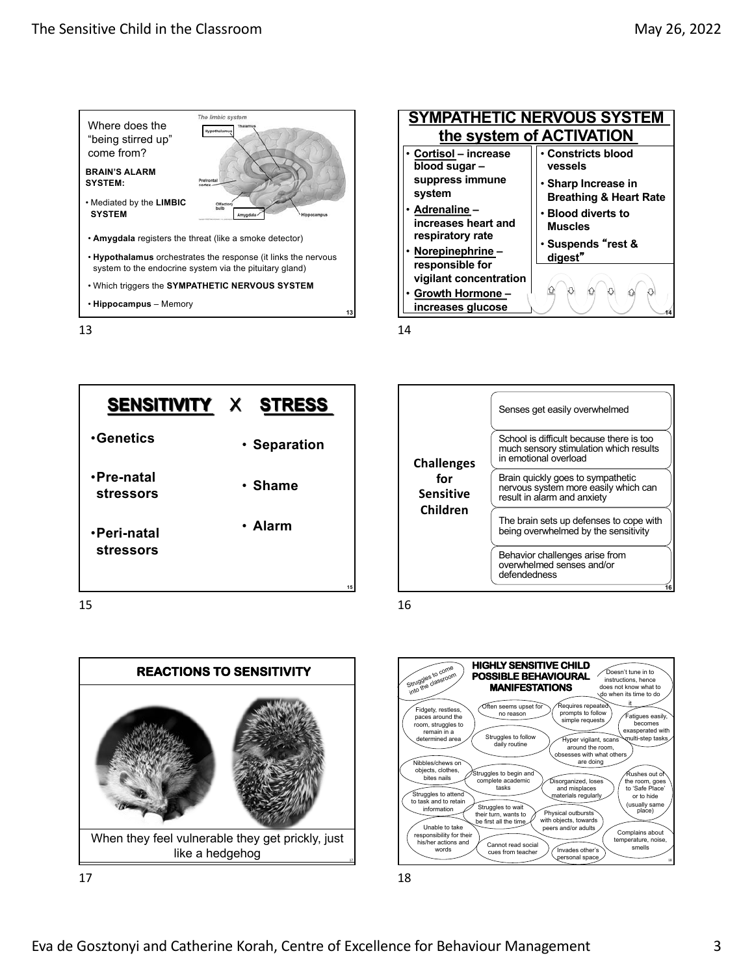

13





Senses get easily overwhelmed School is difficult because there is too much sensory stimulation which results in emotional overload Brain quickly goes to sympathetic nervous system more easily which can result in alarm and anxiety The brain sets up defenses to cope with being overwhelmed by the sensitivity Behavior challenges arise from overwhelmed senses and/or defendedness **Challenges for Sensitive Children 16**

16

18



17



18

Doesn't tune in to instructions, hence does not know what to do when its time to do

> .<br>atiques easil<sup>,</sup> becomes ecomes<br>asperated with<br>ulti-step tasks

 $\widehat{\mathsf{F}}$ ushes out o the room, goes to 'Safe Place' or to hide usually same<br>place)

Complains about temperature, noise, smelle<br>smelle

equires repeat prompts to follow simple requests

Physical outbursts with objects, towards peers and/or adults

n<br>Disorganized, lose and misplaces and mapped of

Invades other personal space

esses with what other are doing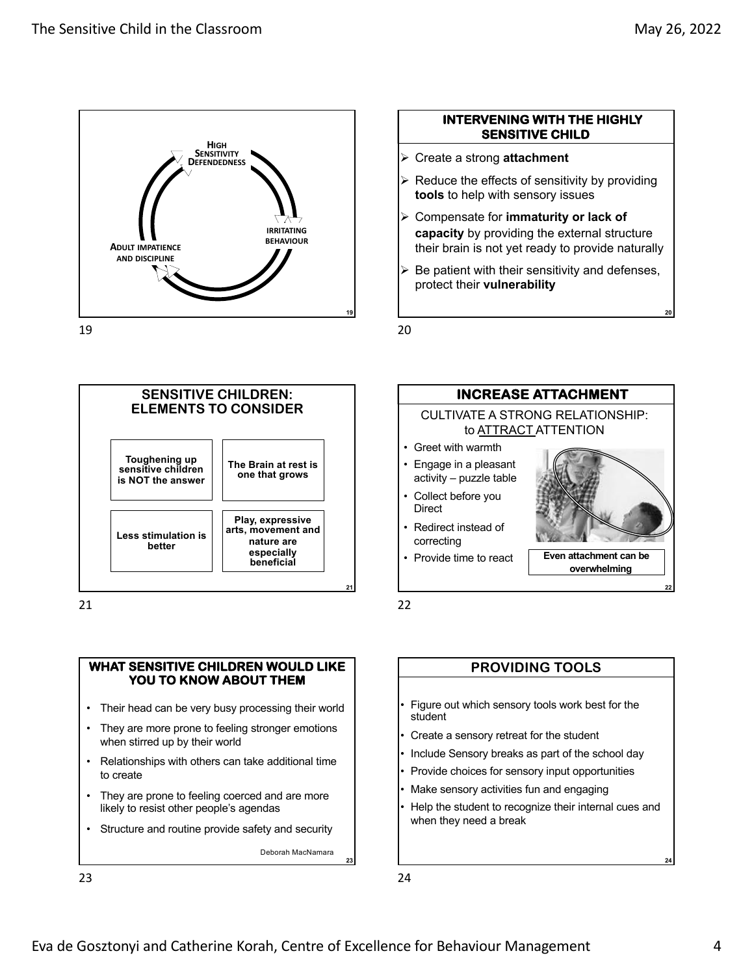

#### 19

## **INTERVENING WITH THE HIGHLY SENSITIVE CHILD**

- Ø Create a strong **attachment**
- $\triangleright$  Reduce the effects of sensitivity by providing **tools** to help with sensory issues
- Ø Compensate for **immaturity or lack of capacity** by providing the external structure their brain is not yet ready to provide naturally
- $\triangleright$  Be patient with their sensitivity and defenses, protect their **vulnerability**

20



21

#### **WHAT SENSITIVE CHILDREN WOULD LIKE YOU TO KNOW ABOUT THEM**

- Their head can be very busy processing their world
- They are more prone to feeling stronger emotions when stirred up by their world
- Relationships with others can take additional time to create
- They are prone to feeling coerced and are more likely to resist other people's agendas
- Structure and routine provide safety and security

Deborah MacNamara

**23**

23



**PROVIDING TOOLS**

- Figure out which sensory tools work best for the student
- Create a sensory retreat for the student
- Include Sensory breaks as part of the school day
- Provide choices for sensory input opportunities
- Make sensory activities fun and engaging
- Help the student to recognize their internal cues and when they need a break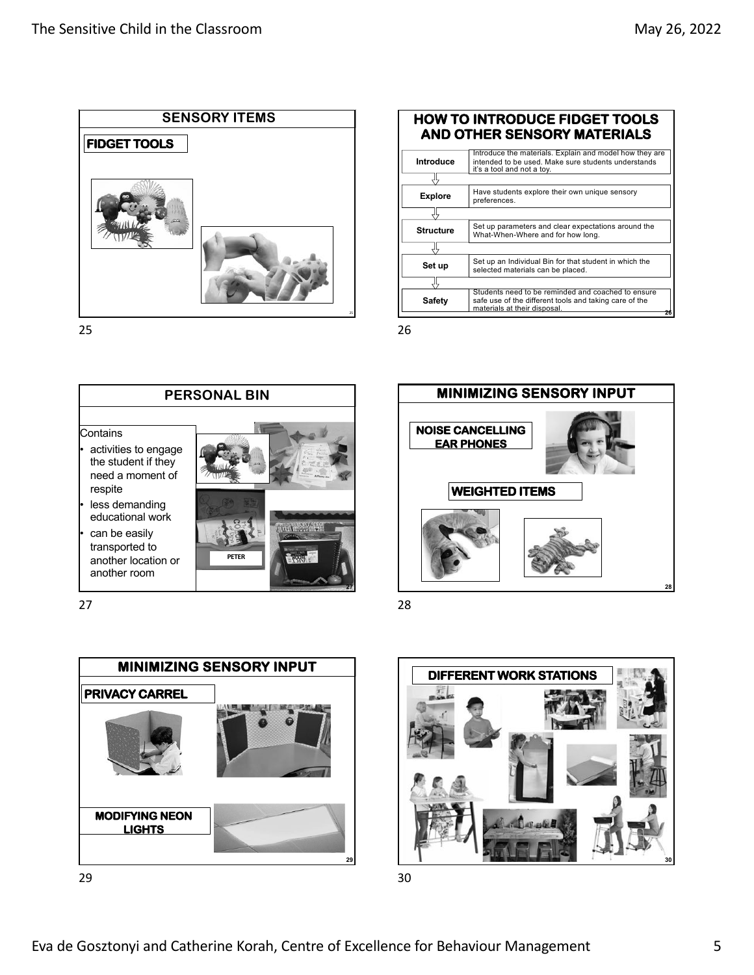





27



29



Students need to be reminded and coached to ensure safe use of the different tools and taking care of the materials at their disposal.

Introduce the materials. Explain and model how they are intended to be used. Make sure students understands it's a tool and not a toy.

**Set up** Set up an Individual Bin for that student in which the selected materials can be placed selected materials can be placed.

**Structure** Set up parameters and clear expectations around the What-When-Where and for how long.

**Explore** Have students explore their own unique sensory

**HOW TO INTRODUCE FIDGET TOOLS AND OTHER SENSORY MATERIALS**

preferences.

28

**Safety**

끇

26

**Introduce**

Ŗ

ĮĻ

곿

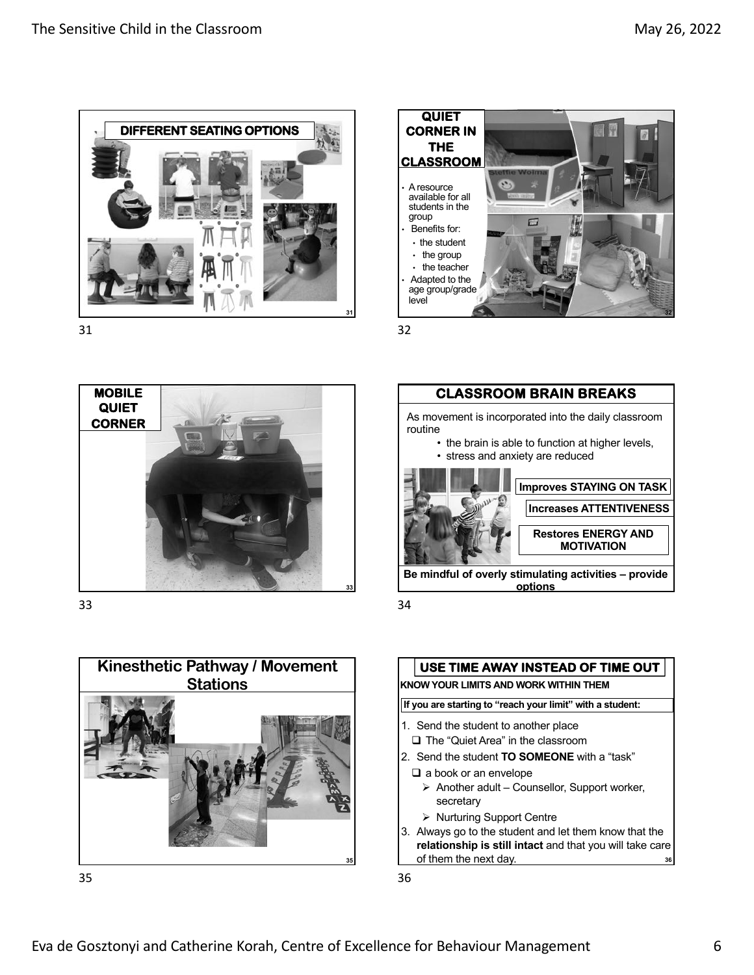







33



34





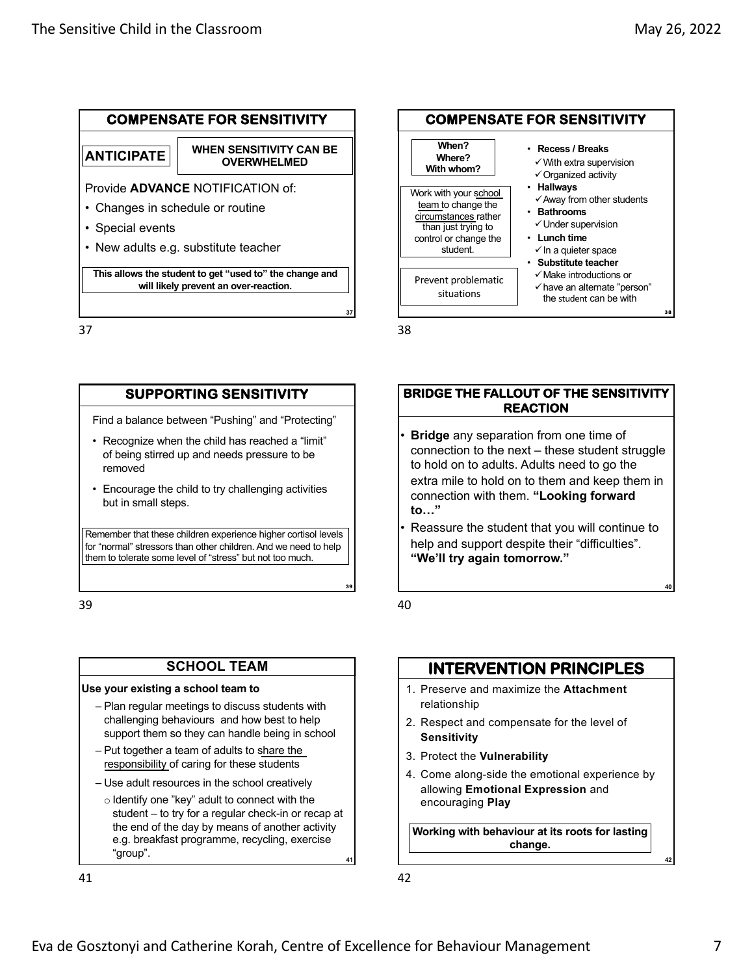

**This allows the student to get "used to" the change and will likely prevent an over-reaction.**

37

## **SUPPORTING SENSITIVITY**

Find a balance between "Pushing" and "Protecting"

- Recognize when the child has reached a "limit" of being stirred up and needs pressure to be removed
- Encourage the child to try challenging activities but in small steps.

Remember that these children experience higher cortisol levels for "normal" stressors than other children. And we need to help them to tolerate some level of "stress" but not too much.

39

## **SCHOOL TEAM**

#### **Use your existing a school team to**

- Plan regular meetings to discuss students with challenging behaviours and how best to help support them so they can handle being in school
- Put together a team of adults to share the responsibility of caring for these students
- Use adult resources in the school creatively
- o Identify one "key" adult to connect with the student – to try for a regular check-in or recap at the end of the day by means of another activity e.g. breakfast programme, recycling, exercise "group". **<sup>41</sup>**

41



38

**37**

39

### **BRIDGE THE FALLOUT OF THE SENSITIVITY REACTION**

- **Bridge** any separation from one time of connection to the next – these student struggle to hold on to adults. Adults need to go the extra mile to hold on to them and keep them in connection with them. **"Looking forward to…"**
- Reassure the student that you will continue to help and support despite their "difficulties". **"We'll try again tomorrow."**

40

## **INTERVENTION PRINCIPLES**

- 1. Preserve and maximize the **Attachment**  relationship
- 2. Respect and compensate for the level of **Sensitivity**
- 3. Protect the **Vulnerability**
- 4. Come along-side the emotional experience by allowing **Emotional Expression** and encouraging **Play**

**Working with behaviour at its roots for lasting change.** 

**40**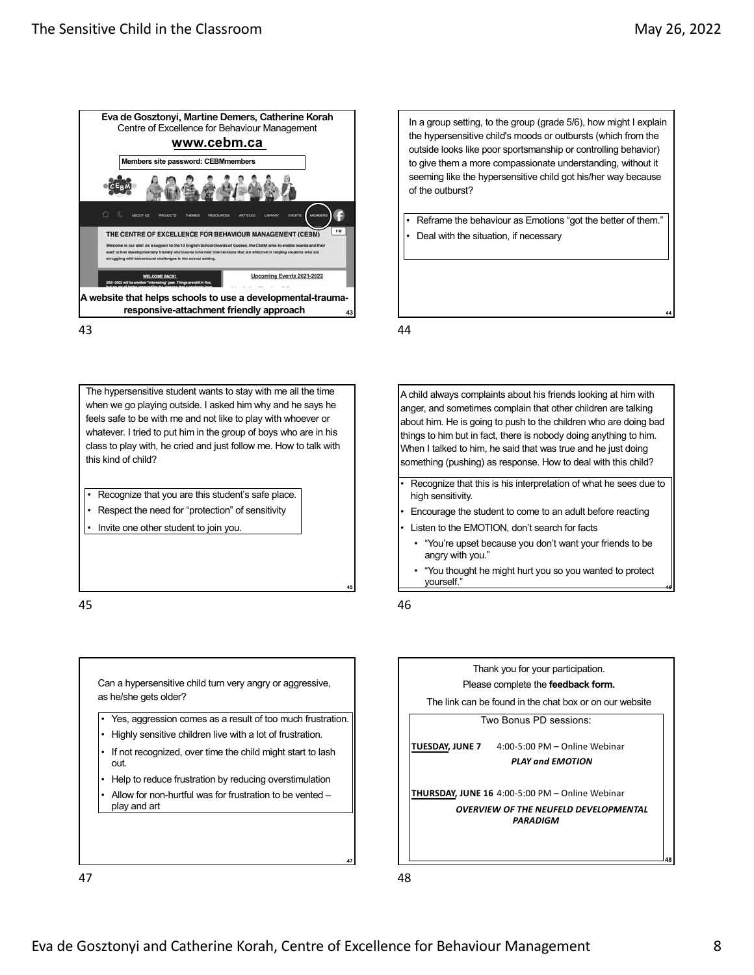



The hypersensitive student wants to stay with me all the time when we go playing outside. I asked him why and he says he feels safe to be with me and not like to play with whoever or whatever. I tried to put him in the group of boys who are in his class to play with, he cried and just follow me. How to talk with this kind of child?

- Recognize that you are this student's safe place.
- Respect the need for "protection" of sensitivity
- Invite one other student to join you.

45

Can a hypersensitive child turn very angry or aggressive, as he/she gets older? Yes, aggression comes as a result of too much frustration. • Highly sensitive children live with a lot of frustration. If not recognized, over time the child might start to lash out.

- Help to reduce frustration by reducing overstimulation
- Allow for non-hurtful was for frustration to be vented play and art

In a group setting, to the group (grade 5/6), how might I explain the hypersensitive child's moods or outbursts (which from the outside looks like poor sportsmanship or controlling behavior) to give them a more compassionate understanding, without it seeming like the hypersensitive child got his/her way because of the outburst?

Reframe the behaviour as Emotions "got the better of them." • Deal with the situation, if necessary

44

A child always complaints about his friends looking at him with anger, and sometimes complain that other children are talking about him. He is going to push to the children who are doing bad things to him but in fact, there is nobody doing anything to him. When I talked to him, he said that was true and he just doing something (pushing) as response. How to deal with this child?

- Recognize that this is his interpretation of what he sees due to high sensitivity.
- Encourage the student to come to an adult before reacting
- Listen to the EMOTION, don't search for facts
	- "You're upset because you don't want your friends to be angry with you."
- "You thought he might hurt you so you wanted to protect yourself." **<sup>46</sup>**

46

**45**

**47**



47